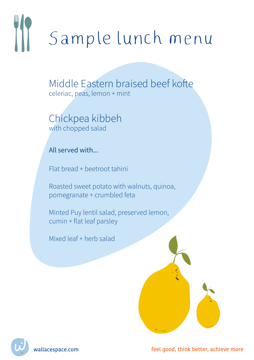# Sample lunch menu

Middle Fastern braised beef kofte celeriac, peas, lemon + mint

Chickpea kibbeh with chopped salad

All served with

Flat bread + beetroot tahini

Roasted sweet potato with walnuts, quinoa, pomegranate + crumbled feta

Minted Puy lentil salad, preserved lemon, cumin + flat leaf parsley

Mixed leaf + herb salad



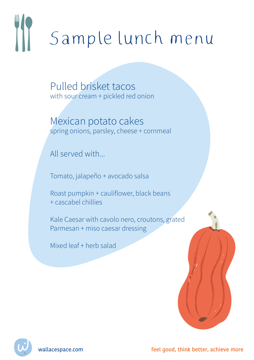### III Sample lunch menu

Pulled brisket tacos with sour cream + pickled red onion

Mexican potato cakes spring onions, parsley, cheese + cornmeal

All served with

Tomato, jalapeño + avocado salsa

Roast pumpkin + cauliflower, black beans + cascabel chillies

Kale Caesar with cavolo nero, croutons, grated Parmesan + miso caesar dressing

Mixed leaf + herb salad



wallacespace.com feel good, think better, achieve more